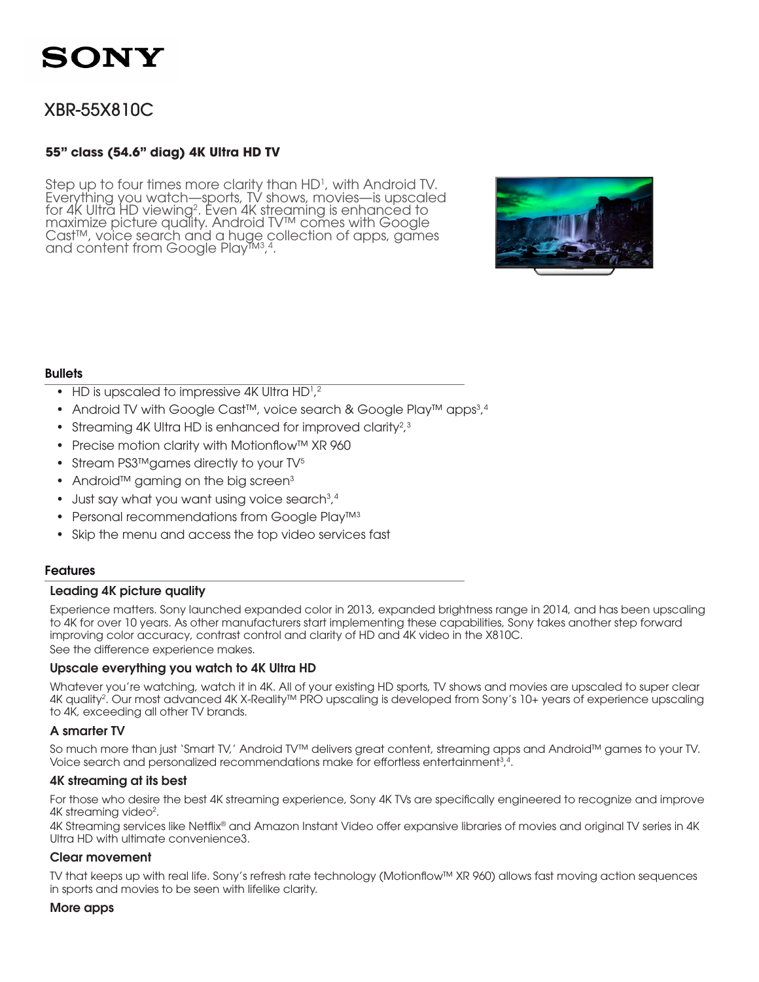# XBR-55X810C

# **55" class (54.6" diag) 4K Ultra HD TV**

Step up to four times more clarity than  $HD<sup>1</sup>$ , with Android TV. Everything you watch—sports, TV shows, movies—is upscaled for 4K Ultra HD viewing<sup>2</sup> for 4K Ultra HD viewing<sup>2</sup>. Even 4K streaming is enhanced to<br>maximize picture quality. Android TV™ comes with Google Cast™, voice search and a huge collection of apps, games and content from Google Play™3,4.



# **Bullets**

- HD is upscaled to impressive 4K Ultra  $HD<sup>1,2</sup>$
- Android TV with Google Cast™, voice search & Google Play™ apps<sup>3,4</sup>
- Streaming 4K Ultra HD is enhanced for improved clarity?, $3$
- Precise motion clarity with Motionflow™ XR 960
- Stream PS3™games directly to your TV<sup>5</sup>
- Android™ gaming on the big screen<sup>3</sup>
- Just say what you want using voice search<sup>3</sup>,4
- Personal recommendations from Google Play™<sup>3</sup>
- Skip the menu and access the top video services fast

# Features

# Leading 4K picture quality

Experience matters. Sony launched expanded color in 2013, expanded brightness range in 2014, and has been upscaling to 4K for over 10 years. As other manufacturers start implementing these capabilities, Sony takes another step forward improving color accuracy, contrast control and clarity of HD and 4K video in the X810C.

See the difference experience makes.

# Upscale everything you watch to 4K Ultra HD

Whatever you're watching, watch it in 4K. All of your existing HD sports, TV shows and movies are upscaled to super clear 4K quality<sup>2</sup>. Our most advanced 4K X-Reality™ PRO upscaling is developed from Sony's 10+ years of experience upscaling to 4K, exceeding all other TV brands.

# A smarter TV

So much more than just 'Smart TV,' Android TV™ delivers great content, streaming apps and Android™ games to your TV. Voice search and personalized recommendations make for effortless entertainment $3,4$ .

# 4K streaming at its best

For those who desire the best 4K streaming experience, Sony 4K TVs are specifically engineered to recognize and improve 4K streaming video<sup>2</sup>.

4K Streaming services like Netflix® and Amazon Instant Video offer expansive libraries of movies and original TV series in 4K Ultra HD with ultimate convenience3.

### Clear movement

TV that keeps up with real life. Sony's refresh rate technology (Motionflow™ XR 960) allows fast moving action sequences in sports and movies to be seen with lifelike clarity.

### More apps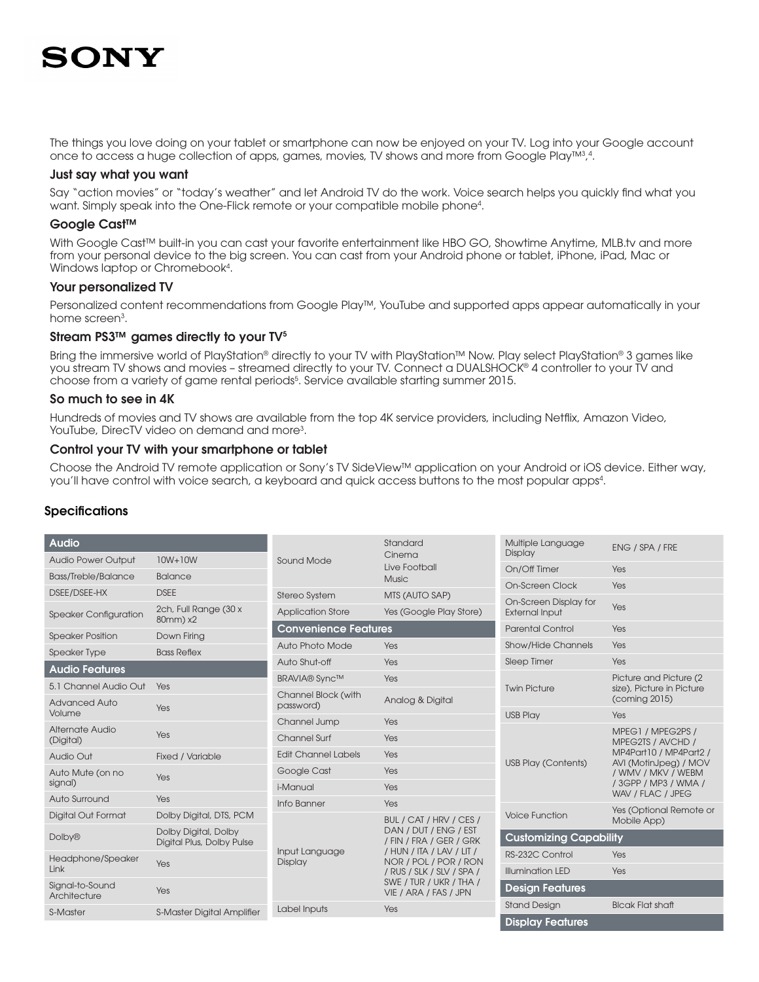The things you love doing on your tablet or smartphone can now be enjoyed on your TV. Log into your Google account once to access a huge collection of apps, games, movies, TV shows and more from Google Play™3,4.

#### Just say what you want

Say "action movies" or "today's weather" and let Android TV do the work. Voice search helps you quickly find what you want. Simply speak into the One-Flick remote or your compatible mobile phone4 .

### Google Cast™

With Google Cast™ built-in you can cast your favorite entertainment like HBO GO, Showtime Anytime, MLB.tv and more from your personal device to the big screen. You can cast from your Android phone or tablet, iPhone, iPad, Mac or Windows laptop or Chromebook<sup>4</sup>.

### Your personalized TV

Personalized content recommendations from Google Play™, YouTube and supported apps appear automatically in your home screen<sup>3</sup>.

### Stream PS3 $\text{TM}$  games directly to your TV $5$

Bring the immersive world of PlayStation® directly to your TV with PlayStation™ Now. Play select PlayStation® 3 games like you stream TV shows and movies – streamed directly to your TV. Connect a DUALSHOCK® 4 controller to your TV and choose from a variety of game rental periods5 . Service available starting summer 2015.

### So much to see in 4K

Hundreds of movies and TV shows are available from the top 4K service providers, including Netflix, Amazon Video, YouTube, DirecTV video on demand and more3 .

### Control your TV with your smartphone or tablet

Choose the Android TV remote application or Sony's TV SideView™ application on your Android or iOS device. Either way, you'll have control with voice search, a keyboard and quick access buttons to the most popular apps4 .

# **Specifications**

| Audio                           |                                                   |                             | Standard<br>Cinema                                                                                                                                                                      | Multiple Language<br>Display  | ENG / SPA / FRE                                                                                                                                              |
|---------------------------------|---------------------------------------------------|-----------------------------|-----------------------------------------------------------------------------------------------------------------------------------------------------------------------------------------|-------------------------------|--------------------------------------------------------------------------------------------------------------------------------------------------------------|
| <b>Audio Power Output</b>       | $10W+10W$                                         | Sound Mode                  | Live Football                                                                                                                                                                           |                               | Yes                                                                                                                                                          |
| <b>Bass/Treble/Balance</b>      | <b>Balance</b>                                    |                             | <b>Music</b>                                                                                                                                                                            | On-Screen Clock               | Yes                                                                                                                                                          |
| DSEE/DSEE-HX                    | <b>DSEE</b>                                       | <b>Stereo System</b>        | MTS (AUTO SAP)                                                                                                                                                                          | On-Screen Display for         |                                                                                                                                                              |
| <b>Speaker Configuration</b>    | 2ch, Full Range (30 x<br>80mm) x2                 | <b>Application Store</b>    | Yes (Google Play Store)                                                                                                                                                                 | <b>External Input</b>         | Yes                                                                                                                                                          |
| <b>Speaker Position</b>         | Down Firing                                       | <b>Convenience Features</b> |                                                                                                                                                                                         | <b>Parental Control</b>       | Yes                                                                                                                                                          |
| <b>Speaker Type</b>             | <b>Bass Reflex</b>                                | Auto Photo Mode             | <b>Yes</b>                                                                                                                                                                              | Show/Hide Channels            | Yes                                                                                                                                                          |
| <b>Audio Features</b>           |                                                   | Auto Shut-off               | Yes                                                                                                                                                                                     | <b>Sleep Timer</b>            | Yes                                                                                                                                                          |
| 5.1 Channel Audio Out           |                                                   | <b>BRAVIA®</b> Sync™        | Yes                                                                                                                                                                                     |                               | Picture and Picture (2)<br>size), Picture in Picture<br>(coming 2015)                                                                                        |
|                                 | Yes                                               | Channel Block (with         | Analog & Digital                                                                                                                                                                        | <b>Twin Picture</b>           |                                                                                                                                                              |
| <b>Advanced Auto</b><br>Volume  | Yes                                               | password)                   |                                                                                                                                                                                         | <b>USB Play</b>               | Yes                                                                                                                                                          |
| Alternate Audio                 |                                                   | Channel Jump                | Yes                                                                                                                                                                                     |                               |                                                                                                                                                              |
| (Digital)                       | Yes                                               | Channel Surf                | Yes                                                                                                                                                                                     |                               | MPEG1 / MPEG2PS /<br>MPEG2TS / AVCHD /<br>MP4Part10 / MP4Part2 /<br>AVI (MotinJpeg) / MOV<br>/ WMV / MKV / WEBM<br>/ 3GPP / MP3 / WMA /<br>WAV / FLAC / JPEG |
| Audio Out                       | Fixed / Variable                                  | <b>Edit Channel Labels</b>  | Yes                                                                                                                                                                                     | <b>USB Play (Contents)</b>    |                                                                                                                                                              |
| Auto Mute (on no                | Yes                                               | Google Cast                 | Yes                                                                                                                                                                                     |                               |                                                                                                                                                              |
| signal)                         |                                                   | i-Manual                    | Yes                                                                                                                                                                                     |                               |                                                                                                                                                              |
| Auto Surround                   | Yes                                               | Info Banner                 | Yes                                                                                                                                                                                     |                               |                                                                                                                                                              |
| <b>Digital Out Format</b>       | Dolby Digital, DTS, PCM                           |                             | BUL / CAT / HRV / CES /                                                                                                                                                                 | <b>Voice Function</b>         | Yes (Optional Remote or<br>Mobile App)                                                                                                                       |
| <b>Dolby®</b>                   | Dolby Digital, Dolby<br>Digital Plus, Dolby Pulse | Input Language<br>Display   | DAN / DUT / ENG / EST<br>/ FIN / FRA / GER / GRK<br>/ HUN / ITA / LAV / LIT /<br>NOR / POL / POR / RON<br>/ RUS / SLK / SLV / SPA /<br>SWE / TUR / UKR / THA /<br>VIE / ARA / FAS / JPN | <b>Customizing Capability</b> |                                                                                                                                                              |
| Headphone/Speaker               |                                                   |                             |                                                                                                                                                                                         | RS-232C Control               | Yes                                                                                                                                                          |
| Link                            | Yes                                               |                             |                                                                                                                                                                                         | <b>Illumination LED</b>       | Yes                                                                                                                                                          |
| Signal-to-Sound<br>Architecture | Yes                                               |                             |                                                                                                                                                                                         | <b>Design Features</b>        |                                                                                                                                                              |
| S-Master                        | <b>S-Master Digital Amplifier</b>                 | Label Inputs                | Yes                                                                                                                                                                                     | <b>Stand Design</b>           | <b>Blcak Flat shaft</b>                                                                                                                                      |
|                                 |                                                   |                             |                                                                                                                                                                                         | <b>Display Features</b>       |                                                                                                                                                              |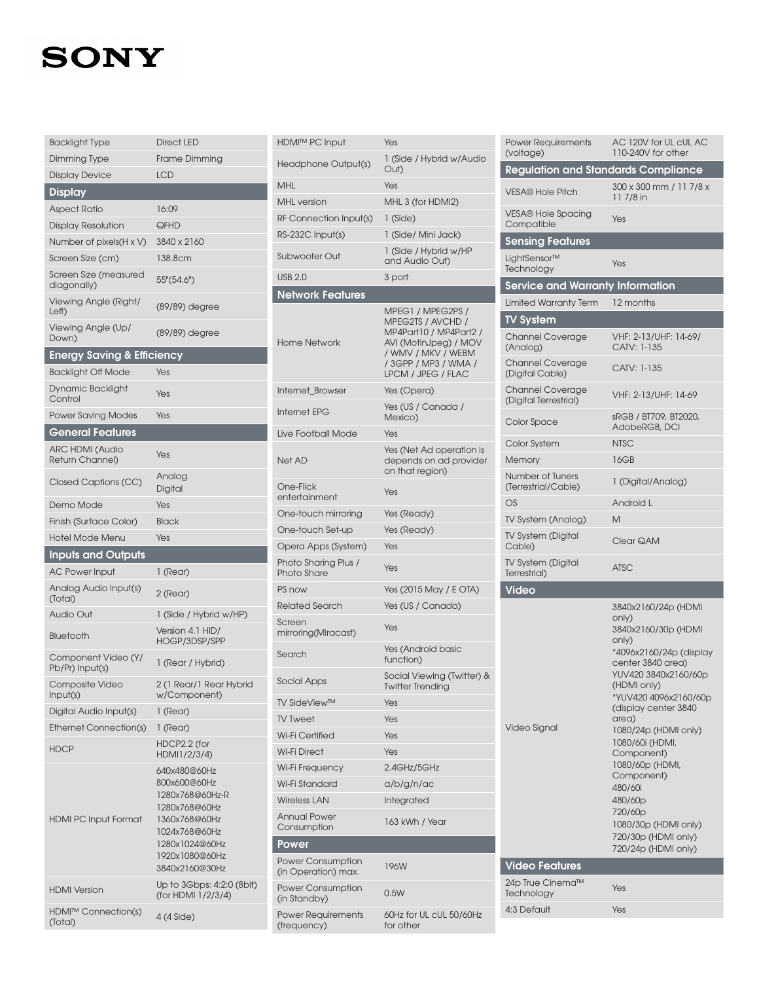| <b>Backlight Type</b>                     | <b>Direct LED</b>                                                                                                                                        |  |
|-------------------------------------------|----------------------------------------------------------------------------------------------------------------------------------------------------------|--|
| Dimming Type                              | Frame Dimming                                                                                                                                            |  |
| <b>Display Device</b>                     | <b>LCD</b>                                                                                                                                               |  |
| <b>Display</b>                            |                                                                                                                                                          |  |
| <b>Aspect Ratio</b>                       | 16:09                                                                                                                                                    |  |
| Display Resolution                        | QFHD                                                                                                                                                     |  |
| Number of pixels(H x V)                   | 3840 x 2160                                                                                                                                              |  |
| Screen Size (cm)                          | 138.8cm                                                                                                                                                  |  |
| Screen Size (measured<br>diagonally)      | 55"(54.6")                                                                                                                                               |  |
| Viewing Angle (Right/<br>Left)            | (89/89) degree                                                                                                                                           |  |
| Viewing Angle (Up/<br>Down)               | (89/89) degree                                                                                                                                           |  |
| <b>Energy Saving &amp; Efficiency</b>     |                                                                                                                                                          |  |
| <b>Backlight Off Mode</b>                 | Yes                                                                                                                                                      |  |
| Dynamic Backlight<br>Control              | Yes                                                                                                                                                      |  |
| <b>Power Saving Modes</b>                 | Yes                                                                                                                                                      |  |
| <b>General Features</b>                   |                                                                                                                                                          |  |
| <b>ARC HDMI (Audio</b><br>Return Channel) | Yes                                                                                                                                                      |  |
| Closed Captions (CC)                      | Analog<br>Digital                                                                                                                                        |  |
| Demo Mode                                 | Yes                                                                                                                                                      |  |
| Finish (Surface Color)                    | Black                                                                                                                                                    |  |
|                                           |                                                                                                                                                          |  |
| <b>Hotel Mode Menu</b>                    | Yes                                                                                                                                                      |  |
| <b>Inputs and Outputs</b>                 |                                                                                                                                                          |  |
| AC Power Input                            | 1 (Rear)                                                                                                                                                 |  |
| Analog Audio Input(s)<br>(Total)          | 2 (Rear)                                                                                                                                                 |  |
| <b>Audio Out</b>                          | 1 (Side / Hybrid w/HP)                                                                                                                                   |  |
| Bluetooth                                 | Version 4.1 HID/<br>HOGP/3DSP/SPP                                                                                                                        |  |
| Component Video (Y/<br>Pb/Pr) Input(s)    | 1 (Rear / Hybrid)                                                                                                                                        |  |
| Composite Video<br>Input(s)               | 2 (1 Rear/1 Rear Hybrid<br>w/Component)                                                                                                                  |  |
| Digital Audio Input(s)                    | 1 (Rear)                                                                                                                                                 |  |
| Ethernet Connection(s)                    | 1 (Rear)                                                                                                                                                 |  |
| <b>HDCP</b>                               | HDCP2.2 (for<br>HDMI1/2/3/4)                                                                                                                             |  |
| <b>HDMI PC Input Format</b>               | 640x480@60Hz<br>800x600@60Hz<br>1280x768@60Hz-R<br>1280x768@60Hz<br>1360x768@60Hz<br>1024x768@60Hz<br>1280x1024@60Hz<br>1920x1080@60Hz<br>3840x2160@30Hz |  |
| <b>HDMI</b> Version                       | Up to 3Gbps: 4:2:0 (8bit)<br>(for HDMI 1/2/3/4)                                                                                                          |  |

| <b>HDMI™ PC Input</b>                      | Yes                                                                                                                                                           |  |  |
|--------------------------------------------|---------------------------------------------------------------------------------------------------------------------------------------------------------------|--|--|
| Headphone Output(s)                        | 1 (Side / Hybrid w/Audio<br>Out)                                                                                                                              |  |  |
| MHL                                        | Yes                                                                                                                                                           |  |  |
| <b>MHL</b> version                         | MHL 3 (for HDMI2)                                                                                                                                             |  |  |
| RF Connection Input(s)                     | $1$ (Side)                                                                                                                                                    |  |  |
| RS-232C Input(s)                           | 1 (Side/ Mini Jack)                                                                                                                                           |  |  |
| Subwoofer Out                              | 1 (Side / Hybrid w/HP<br>and Audio Out)                                                                                                                       |  |  |
| <b>USB 2.0</b>                             | 3 port                                                                                                                                                        |  |  |
| <b>Network Features</b>                    |                                                                                                                                                               |  |  |
| Home Network                               | MPEG1 / MPEG2PS /<br>MPEG2TS / AVCHD /<br>MP4Part10 / MP4Part2 /<br>AVI (MotinJpeg) / MOV<br>/ WMV / MKV / WEBM<br>/ 3GPP / MP3 / WMA /<br>LPCM / JPEG / FLAC |  |  |
| Internet_Browser                           | Yes (Opera)                                                                                                                                                   |  |  |
| Internet EPG                               | Yes (US / Canada /<br>Mexico)                                                                                                                                 |  |  |
| Live Football Mode                         | Yes                                                                                                                                                           |  |  |
| Net AD                                     | Yes (Net Ad operation is<br>depends on ad provider<br>on that region)                                                                                         |  |  |
| One-Flick<br>entertainment                 | Yes                                                                                                                                                           |  |  |
| One-touch mirroring                        | Yes (Ready)                                                                                                                                                   |  |  |
| One-touch Set-up                           | Yes (Ready)                                                                                                                                                   |  |  |
| Opera Apps (System)                        | Yes                                                                                                                                                           |  |  |
| Photo Sharing Plus /<br><b>Photo Share</b> | Yes                                                                                                                                                           |  |  |
| PS now                                     | Yes (2015 May / E OTA)                                                                                                                                        |  |  |
| Related Search                             | Yes (US / Canada)                                                                                                                                             |  |  |
| Screen<br>mirroring(Miracast)              | Yes                                                                                                                                                           |  |  |
| Search                                     | Yes (Android basic<br>function)                                                                                                                               |  |  |
| Social Apps                                | Social Viewing (Twitter) &<br>Twitter Trending                                                                                                                |  |  |
| <b>TV SideView™</b>                        | Yes                                                                                                                                                           |  |  |
| <b>IV Tweet</b>                            | Yes                                                                                                                                                           |  |  |
| Wi-Fi Certified                            | Yes                                                                                                                                                           |  |  |
| Wi-Fi Direct                               | Yes                                                                                                                                                           |  |  |
| Wi-Fi Frequency                            | 2.4GHz/5GHz                                                                                                                                                   |  |  |
| Wi-Fi Standard                             | a/b/g/n/ac                                                                                                                                                    |  |  |
| Wireless LAN                               | Integrated                                                                                                                                                    |  |  |
| <b>Annual Power</b><br>Consumption         | 163 kWh / Year                                                                                                                                                |  |  |
| Power                                      |                                                                                                                                                               |  |  |
| Power Consumption<br>(in Operation) max.   | 196W                                                                                                                                                          |  |  |
| <b>Power Consumption</b><br>(in Standby)   | 0.5W                                                                                                                                                          |  |  |
| Power Requirements<br>(freauency)          | 60Hz for UL cUL 50/60Hz<br>for other                                                                                                                          |  |  |

I

I

| <b>Power Requirements</b><br>(voltage)           | AC 120V for UL cUL AC<br>110-240V for other                                                                                                                                                                                                                                                                                                                                                                    |  |  |  |  |
|--------------------------------------------------|----------------------------------------------------------------------------------------------------------------------------------------------------------------------------------------------------------------------------------------------------------------------------------------------------------------------------------------------------------------------------------------------------------------|--|--|--|--|
| <b>Regulation and Standards Compliance</b>       |                                                                                                                                                                                                                                                                                                                                                                                                                |  |  |  |  |
| <b>VESA® Hole Pitch</b>                          | 300 x 300 mm / 11 7/8 x<br>11 7/8 in                                                                                                                                                                                                                                                                                                                                                                           |  |  |  |  |
| <b>VESA® Hole Spacing</b><br>Compatible          | Yes                                                                                                                                                                                                                                                                                                                                                                                                            |  |  |  |  |
| <b>Sensing Features</b>                          |                                                                                                                                                                                                                                                                                                                                                                                                                |  |  |  |  |
| LightSensor™<br>Technology                       | Yes                                                                                                                                                                                                                                                                                                                                                                                                            |  |  |  |  |
| <b>Service and Warranty Information</b>          |                                                                                                                                                                                                                                                                                                                                                                                                                |  |  |  |  |
| <b>Limited Warranty Term</b>                     | 12 months                                                                                                                                                                                                                                                                                                                                                                                                      |  |  |  |  |
| <b>TV System</b>                                 |                                                                                                                                                                                                                                                                                                                                                                                                                |  |  |  |  |
| Channel Coverage<br>(Analog)                     | VHF: 2-13/UHF: 14-69/<br>CATV: 1-135                                                                                                                                                                                                                                                                                                                                                                           |  |  |  |  |
| Channel Coverage<br>(Digital Cable)              | CATV: 1-135                                                                                                                                                                                                                                                                                                                                                                                                    |  |  |  |  |
| <b>Channel Coverage</b><br>(Digital Terrestrial) | VHF: 2-13/UHF: 14-69                                                                                                                                                                                                                                                                                                                                                                                           |  |  |  |  |
| Color Space                                      | sRGB / BT709, BT2020,<br>AdobeRGB, DCI                                                                                                                                                                                                                                                                                                                                                                         |  |  |  |  |
| Color System                                     | <b>NTSC</b>                                                                                                                                                                                                                                                                                                                                                                                                    |  |  |  |  |
| Memory                                           | 16GB                                                                                                                                                                                                                                                                                                                                                                                                           |  |  |  |  |
| Number of Tuners<br>(Terrestrial/Cable)          | 1 (Digital/Analog)                                                                                                                                                                                                                                                                                                                                                                                             |  |  |  |  |
| OS                                               | Android L                                                                                                                                                                                                                                                                                                                                                                                                      |  |  |  |  |
| TV System (Analog)                               | Μ                                                                                                                                                                                                                                                                                                                                                                                                              |  |  |  |  |
|                                                  |                                                                                                                                                                                                                                                                                                                                                                                                                |  |  |  |  |
| <b>TV System (Digital</b><br>Cable)              | Clear QAM                                                                                                                                                                                                                                                                                                                                                                                                      |  |  |  |  |
| <b>TV System (Digital</b><br>Terrestrial)        | <b>ATSC</b>                                                                                                                                                                                                                                                                                                                                                                                                    |  |  |  |  |
| <b>Video</b>                                     |                                                                                                                                                                                                                                                                                                                                                                                                                |  |  |  |  |
| Video Signal<br><b>Video Features</b>            | 3840x2160/24p (HDMI<br>only)<br>3840x2160/30p (HDMI<br>only)<br>*4096x2160/24p (display<br>center 3840 area)<br>YUV420 3840x2160/60p<br>(HDMI only)<br>*YUV420 4096x2160/60p<br>(display center 3840<br>area)<br>1080/24p (HDMI only)<br>1080/60i (HDMI,<br>Component)<br>1080/60p (HDMI,<br>Component)<br>480/60i<br>480/60p<br>720/60p<br>1080/30p (HDMI only)<br>720/30p (HDMI only)<br>720/24p (HDMI only) |  |  |  |  |
| 24p True Cinema™<br>Technology                   | Yes                                                                                                                                                                                                                                                                                                                                                                                                            |  |  |  |  |
| 4:3 Default                                      | Yes                                                                                                                                                                                                                                                                                                                                                                                                            |  |  |  |  |